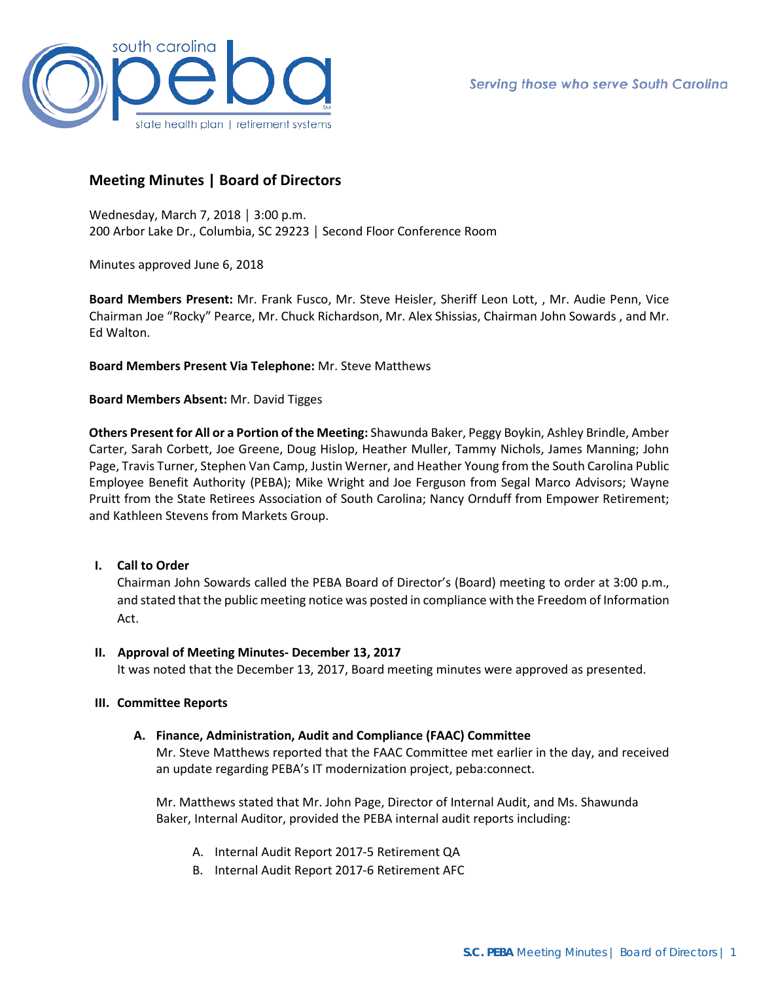

# **Meeting Minutes | Board of Directors**

Wednesday, March 7, 2018 │ 3:00 p.m. 200 Arbor Lake Dr., Columbia, SC 29223 │ Second Floor Conference Room

Minutes approved June 6, 2018

**Board Members Present:** Mr. Frank Fusco, Mr. Steve Heisler, Sheriff Leon Lott, , Mr. Audie Penn, Vice Chairman Joe "Rocky" Pearce, Mr. Chuck Richardson, Mr. Alex Shissias, Chairman John Sowards , and Mr. Ed Walton.

## **Board Members Present Via Telephone:** Mr. Steve Matthews

## **Board Members Absent:** Mr. David Tigges

**Others Present for All or a Portion of the Meeting:** Shawunda Baker, Peggy Boykin, Ashley Brindle, Amber Carter, Sarah Corbett, Joe Greene, Doug Hislop, Heather Muller, Tammy Nichols, James Manning; John Page, Travis Turner, Stephen Van Camp, Justin Werner, and Heather Young from the South Carolina Public Employee Benefit Authority (PEBA); Mike Wright and Joe Ferguson from Segal Marco Advisors; Wayne Pruitt from the State Retirees Association of South Carolina; Nancy Ornduff from Empower Retirement; and Kathleen Stevens from Markets Group.

# **I. Call to Order**

Chairman John Sowards called the PEBA Board of Director's (Board) meeting to order at 3:00 p.m., and stated that the public meeting notice was posted in compliance with the Freedom of Information Act.

### **II. Approval of Meeting Minutes- December 13, 2017**

It was noted that the December 13, 2017, Board meeting minutes were approved as presented.

### **III. Committee Reports**

# **A. Finance, Administration, Audit and Compliance (FAAC) Committee**

Mr. Steve Matthews reported that the FAAC Committee met earlier in the day, and received an update regarding PEBA's IT modernization project, peba:connect.

Mr. Matthews stated that Mr. John Page, Director of Internal Audit, and Ms. Shawunda Baker, Internal Auditor, provided the PEBA internal audit reports including:

- A. Internal Audit Report 2017-5 Retirement QA
- B. Internal Audit Report 2017-6 Retirement AFC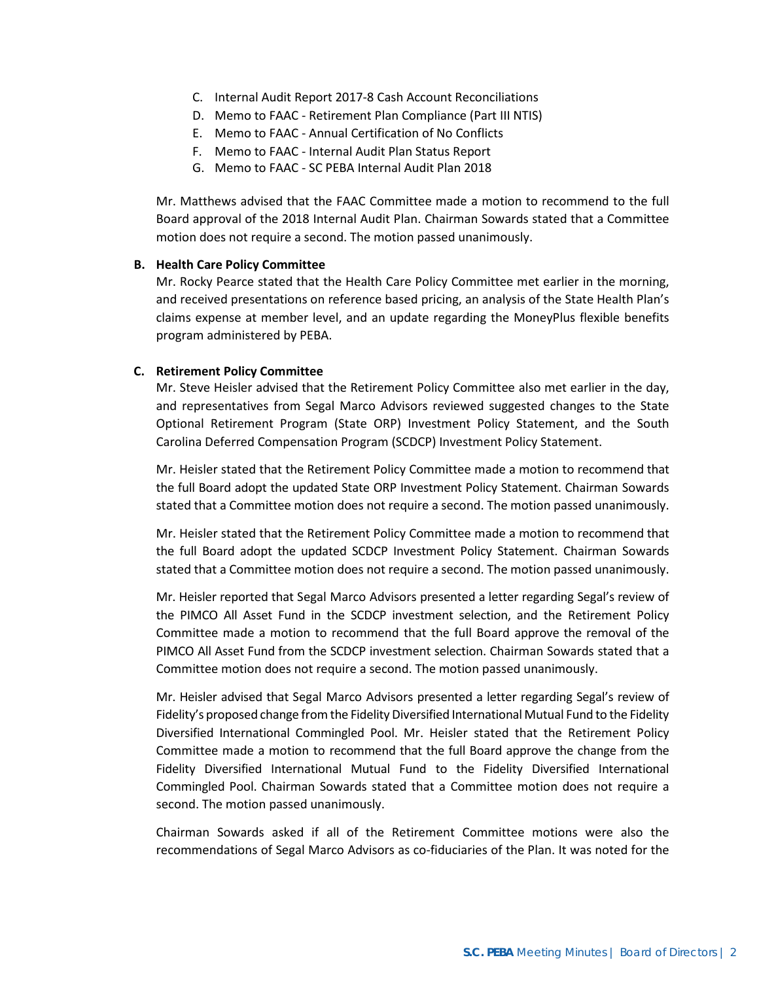- C. Internal Audit Report 2017-8 Cash Account Reconciliations
- D. Memo to FAAC Retirement Plan Compliance (Part III NTIS)
- E. Memo to FAAC Annual Certification of No Conflicts
- F. Memo to FAAC Internal Audit Plan Status Report
- G. Memo to FAAC SC PEBA Internal Audit Plan 2018

Mr. Matthews advised that the FAAC Committee made a motion to recommend to the full Board approval of the 2018 Internal Audit Plan. Chairman Sowards stated that a Committee motion does not require a second. The motion passed unanimously.

### **B. Health Care Policy Committee**

Mr. Rocky Pearce stated that the Health Care Policy Committee met earlier in the morning, and received presentations on reference based pricing, an analysis of the State Health Plan's claims expense at member level, and an update regarding the MoneyPlus flexible benefits program administered by PEBA.

#### **C. Retirement Policy Committee**

Mr. Steve Heisler advised that the Retirement Policy Committee also met earlier in the day, and representatives from Segal Marco Advisors reviewed suggested changes to the State Optional Retirement Program (State ORP) Investment Policy Statement, and the South Carolina Deferred Compensation Program (SCDCP) Investment Policy Statement.

Mr. Heisler stated that the Retirement Policy Committee made a motion to recommend that the full Board adopt the updated State ORP Investment Policy Statement. Chairman Sowards stated that a Committee motion does not require a second. The motion passed unanimously.

Mr. Heisler stated that the Retirement Policy Committee made a motion to recommend that the full Board adopt the updated SCDCP Investment Policy Statement. Chairman Sowards stated that a Committee motion does not require a second. The motion passed unanimously.

Mr. Heisler reported that Segal Marco Advisors presented a letter regarding Segal's review of the PIMCO All Asset Fund in the SCDCP investment selection, and the Retirement Policy Committee made a motion to recommend that the full Board approve the removal of the PIMCO All Asset Fund from the SCDCP investment selection. Chairman Sowards stated that a Committee motion does not require a second. The motion passed unanimously.

Mr. Heisler advised that Segal Marco Advisors presented a letter regarding Segal's review of Fidelity's proposed change from the Fidelity Diversified International Mutual Fund to the Fidelity Diversified International Commingled Pool. Mr. Heisler stated that the Retirement Policy Committee made a motion to recommend that the full Board approve the change from the Fidelity Diversified International Mutual Fund to the Fidelity Diversified International Commingled Pool. Chairman Sowards stated that a Committee motion does not require a second. The motion passed unanimously.

Chairman Sowards asked if all of the Retirement Committee motions were also the recommendations of Segal Marco Advisors as co-fiduciaries of the Plan. It was noted for the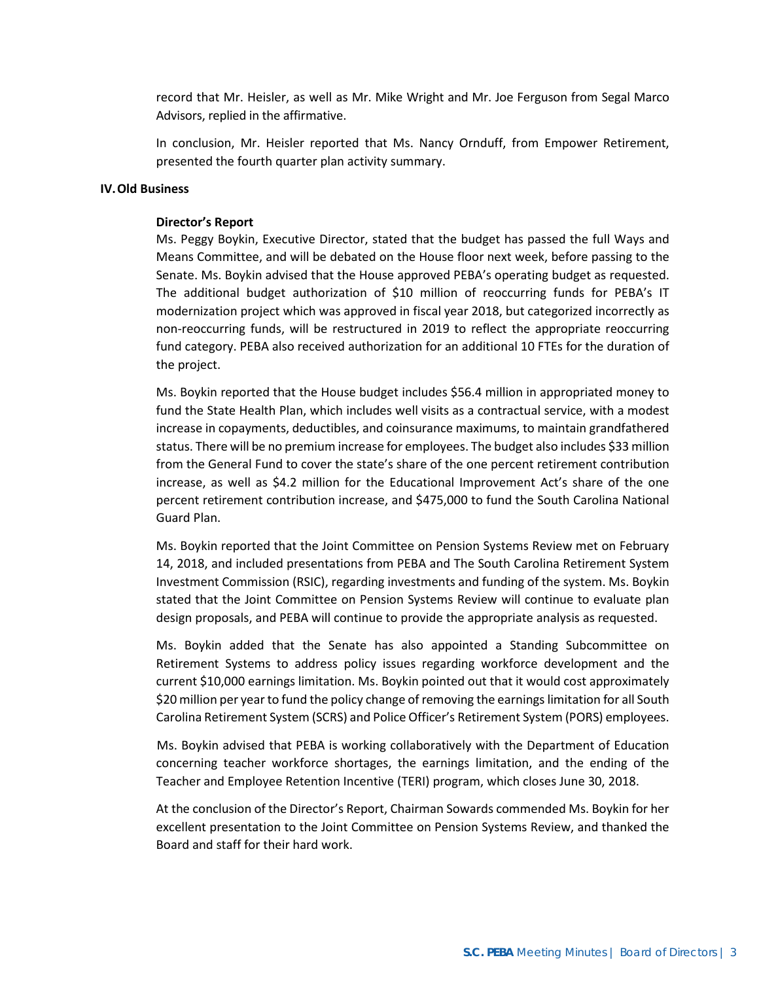record that Mr. Heisler, as well as Mr. Mike Wright and Mr. Joe Ferguson from Segal Marco Advisors, replied in the affirmative.

In conclusion, Mr. Heisler reported that Ms. Nancy Ornduff, from Empower Retirement, presented the fourth quarter plan activity summary.

#### **IV.Old Business**

#### **Director's Report**

Ms. Peggy Boykin, Executive Director, stated that the budget has passed the full Ways and Means Committee, and will be debated on the House floor next week, before passing to the Senate. Ms. Boykin advised that the House approved PEBA's operating budget as requested. The additional budget authorization of \$10 million of reoccurring funds for PEBA's IT modernization project which was approved in fiscal year 2018, but categorized incorrectly as non-reoccurring funds, will be restructured in 2019 to reflect the appropriate reoccurring fund category. PEBA also received authorization for an additional 10 FTEs for the duration of the project.

Ms. Boykin reported that the House budget includes \$56.4 million in appropriated money to fund the State Health Plan, which includes well visits as a contractual service, with a modest increase in copayments, deductibles, and coinsurance maximums, to maintain grandfathered status. There will be no premium increase for employees. The budget also includes \$33 million from the General Fund to cover the state's share of the one percent retirement contribution increase, as well as \$4.2 million for the Educational Improvement Act's share of the one percent retirement contribution increase, and \$475,000 to fund the South Carolina National Guard Plan.

Ms. Boykin reported that the Joint Committee on Pension Systems Review met on February 14, 2018, and included presentations from PEBA and The South Carolina Retirement System Investment Commission (RSIC), regarding investments and funding of the system. Ms. Boykin stated that the Joint Committee on Pension Systems Review will continue to evaluate plan design proposals, and PEBA will continue to provide the appropriate analysis as requested.

Ms. Boykin added that the Senate has also appointed a Standing Subcommittee on Retirement Systems to address policy issues regarding workforce development and the current \$10,000 earnings limitation. Ms. Boykin pointed out that it would cost approximately \$20 million per year to fund the policy change of removing the earningslimitation for all South Carolina Retirement System (SCRS) and Police Officer's Retirement System (PORS) employees.

 Ms. Boykin advised that PEBA is working collaboratively with the Department of Education concerning teacher workforce shortages, the earnings limitation, and the ending of the Teacher and Employee Retention Incentive (TERI) program, which closes June 30, 2018.

At the conclusion of the Director's Report, Chairman Sowards commended Ms. Boykin for her excellent presentation to the Joint Committee on Pension Systems Review, and thanked the Board and staff for their hard work.